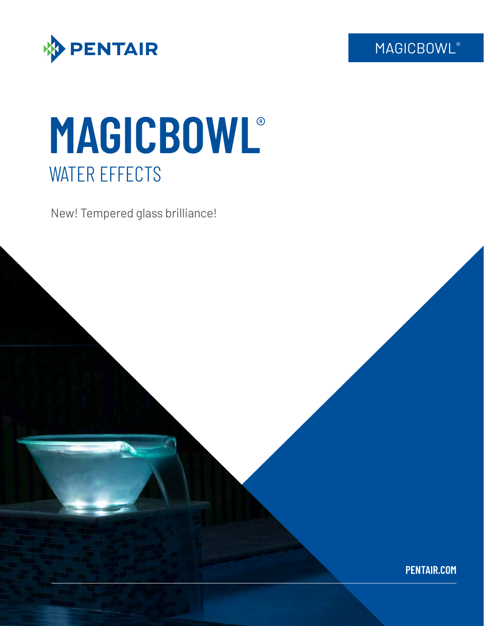**MAGICBOWL®** 



# **MAGICBOWL**® WATER EFFECTS

New! Tempered glass brilliance!

**PENTAIR.COM**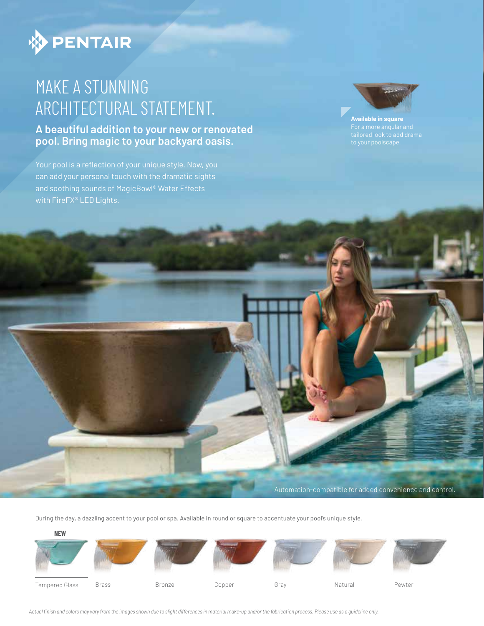

### MAKE A STUNNING ARCHITECTURAL STATEMENT.

**A beautiful addition to your new or renovated pool. Bring magic to your backyard oasis.**

can add your personal touch with the dramatic sights and soothing sounds of MagicBowl® Water Effects



**Available in square**

During the day, a dazzling accent to your pool or spa. Available in round or square to accentuate your pool's unique style.

**NEW**













Automation-compatible for added convenience and control.



Tempered Glass

Brass Bronze Copper Gray Natural Pewter

*Actual finish and colors may vary from the images shown due to slight differences in material make-up and/or the fabrication process. Please use as a guideline only.*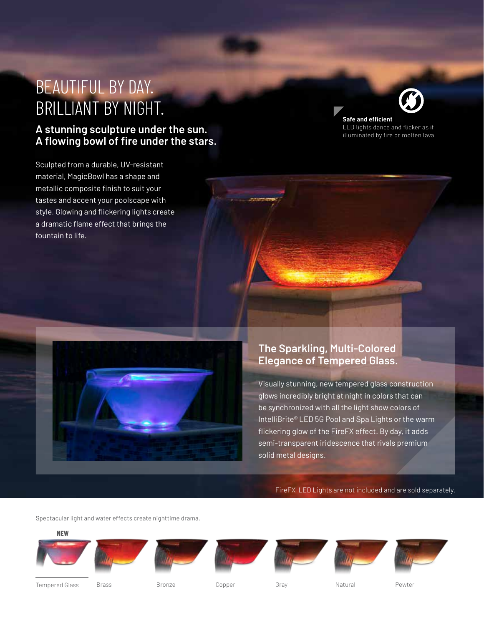### BEAUTIFUL BY DAY. BRILLIANT BY NIGHT.

### **A stunning sculpture under the sun. A flowing bowl of fire under the stars.**

Sculpted from a durable, UV-resistant material, MagicBowl has a shape and metallic composite finish to suit your tastes and accent your poolscape with style. Glowing and flickering lights create a dramatic flame effect that brings the fountain to life.



**Safe and efficient** LED lights dance and flicker as if illuminated by fire or molten lava.



#### **The Sparkling, Multi-Colored Elegance of Tempered Glass.**

Visually stunning, new tempered glass construction glows incredibly bright at night in colors that can be synchronized with all the light show colors of IntelliBrite® LED 5G Pool and Spa Lights or the warm flickering glow of the FireFX effect. By day, it adds semi-transparent iridescence that rivals premium solid metal designs.

FireFX LED Lights are not included and are sold separately.

Spectacular light and water effects create nighttime drama.

**NEW**















Tempered Glass Brass Bronze Copper Gray Natural Pewter